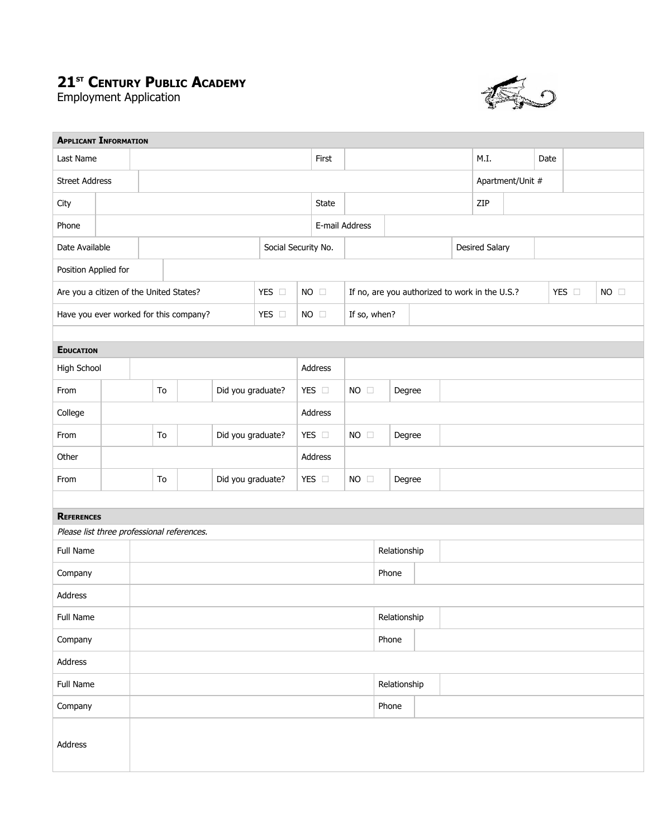## **21 ST CENTURY PUBLIC ACADEMY**

Employment Application



| <b>APPLICANT INFORMATION</b>               |    |                         |                   |                   |                     |         |                |                                                |              |        |  |      |                  |      |  |  |       |                |  |  |
|--------------------------------------------|----|-------------------------|-------------------|-------------------|---------------------|---------|----------------|------------------------------------------------|--------------|--------|--|------|------------------|------|--|--|-------|----------------|--|--|
| Last Name                                  |    |                         |                   |                   |                     |         | First          |                                                |              |        |  | M.I. |                  | Date |  |  |       |                |  |  |
| <b>Street Address</b>                      |    |                         |                   |                   |                     |         |                |                                                |              |        |  |      | Apartment/Unit # |      |  |  |       |                |  |  |
| City                                       |    |                         |                   |                   |                     |         |                | <b>State</b>                                   |              |        |  |      |                  | ZIP  |  |  |       |                |  |  |
| Phone                                      |    |                         |                   |                   |                     |         | E-mail Address |                                                |              |        |  |      |                  |      |  |  |       |                |  |  |
| Date Available                             |    |                         |                   |                   | Social Security No. |         |                |                                                |              |        |  |      | Desired Salary   |      |  |  |       |                |  |  |
| Position Applied for                       |    |                         |                   |                   |                     |         |                |                                                |              |        |  |      |                  |      |  |  |       |                |  |  |
| Are you a citizen of the United States?    |    |                         |                   |                   | YES O               |         | $NO$ $\square$ | If no, are you authorized to work in the U.S.? |              |        |  |      |                  |      |  |  | YES O | $NO$ $\square$ |  |  |
| Have you ever worked for this company?     |    |                         |                   |                   | YES O               |         | $NO$ $\square$ | If so, when?                                   |              |        |  |      |                  |      |  |  |       |                |  |  |
|                                            |    |                         |                   |                   |                     |         |                |                                                |              |        |  |      |                  |      |  |  |       |                |  |  |
| <b>EDUCATION</b>                           |    |                         |                   |                   |                     |         |                |                                                |              |        |  |      |                  |      |  |  |       |                |  |  |
| High School                                |    |                         |                   |                   |                     |         | Address        |                                                |              |        |  |      |                  |      |  |  |       |                |  |  |
| From                                       |    | Did you graduate?<br>To |                   |                   | YES $\Box$          |         | $NO$ $\square$ |                                                | Degree       |        |  |      |                  |      |  |  |       |                |  |  |
| College                                    |    |                         |                   |                   |                     |         | Address        |                                                |              |        |  |      |                  |      |  |  |       |                |  |  |
| From                                       | To |                         | Did you graduate? |                   |                     | YES O   | $NO$ $\square$ |                                                | Degree       |        |  |      |                  |      |  |  |       |                |  |  |
| Other                                      |    |                         |                   |                   |                     | Address |                |                                                |              |        |  |      |                  |      |  |  |       |                |  |  |
| From                                       |    |                         | To                | Did you graduate? |                     |         | YES $\Box$     | $NO$ $\square$                                 |              | Degree |  |      |                  |      |  |  |       |                |  |  |
|                                            |    |                         |                   |                   |                     |         |                |                                                |              |        |  |      |                  |      |  |  |       |                |  |  |
| <b>REFERENCES</b>                          |    |                         |                   |                   |                     |         |                |                                                |              |        |  |      |                  |      |  |  |       |                |  |  |
| Please list three professional references. |    |                         |                   |                   |                     |         |                |                                                |              |        |  |      |                  |      |  |  |       |                |  |  |
| Full Name                                  |    |                         |                   |                   |                     |         |                | Relationship                                   |              |        |  |      |                  |      |  |  |       |                |  |  |
| Company                                    |    |                         |                   |                   |                     |         |                |                                                |              | Phone  |  |      |                  |      |  |  |       |                |  |  |
| Address                                    |    |                         |                   |                   |                     |         |                |                                                |              |        |  |      |                  |      |  |  |       |                |  |  |
| Full Name                                  |    |                         |                   |                   |                     |         |                |                                                | Relationship |        |  |      |                  |      |  |  |       |                |  |  |
| Company                                    |    |                         |                   |                   | Phone               |         |                |                                                |              |        |  |      |                  |      |  |  |       |                |  |  |
| Address                                    |    |                         |                   |                   |                     |         |                |                                                |              |        |  |      |                  |      |  |  |       |                |  |  |
| Full Name                                  |    |                         |                   |                   |                     |         |                |                                                | Relationship |        |  |      |                  |      |  |  |       |                |  |  |
| Company                                    |    |                         |                   |                   |                     |         |                |                                                |              | Phone  |  |      |                  |      |  |  |       |                |  |  |
| Address                                    |    |                         |                   |                   |                     |         |                |                                                |              |        |  |      |                  |      |  |  |       |                |  |  |